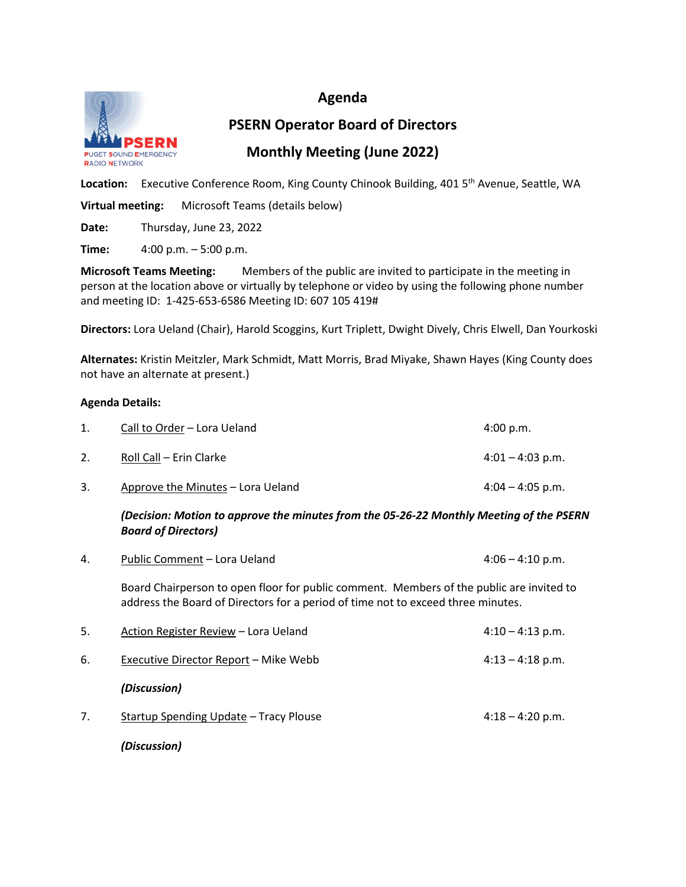### **Agenda**



**PSERN Operator Board of Directors Monthly Meeting (June 2022)**

Location: Executive Conference Room, King County Chinook Building, 401 5<sup>th</sup> Avenue, Seattle, WA

**Virtual meeting:** Microsoft Teams (details below)

**Date:** Thursday, June 23, 2022

**Time:** 4:00 p.m. – 5:00 p.m.

**Microsoft Teams Meeting:** Members of the public are invited to participate in the meeting in person at the location above or virtually by telephone or video by using the following phone number and meeting ID: 1-425-653-6586 Meeting ID: 607 105 419#

**Directors:** Lora Ueland (Chair), Harold Scoggins, Kurt Triplett, Dwight Dively, Chris Elwell, Dan Yourkoski

**Alternates:** Kristin Meitzler, Mark Schmidt, Matt Morris, Brad Miyake, Shawn Hayes (King County does not have an alternate at present.)

#### **Agenda Details:**

| Call to Order – Lora Ueland       | 4:00 p.m.          |
|-----------------------------------|--------------------|
| Roll Call – Erin Clarke           | $4:01 - 4:03$ p.m. |
| Approve the Minutes - Lora Ueland | $4:04 - 4:05$ p.m. |

*(Decision: Motion to approve the minutes from the 05-26-22 Monthly Meeting of the PSERN Board of Directors)*

| Public Comment - Lora Ueland<br>$4:06 - 4:10$ p.m.                                                                                                                           |                    |  |  |
|------------------------------------------------------------------------------------------------------------------------------------------------------------------------------|--------------------|--|--|
| Board Chairperson to open floor for public comment. Members of the public are invited to<br>address the Board of Directors for a period of time not to exceed three minutes. |                    |  |  |
| Action Register Review – Lora Ueland                                                                                                                                         | $4:10 - 4:13$ p.m. |  |  |
| Executive Director Report – Mike Webb                                                                                                                                        | $4:13 - 4:18$ p.m. |  |  |
| (Discussion)                                                                                                                                                                 |                    |  |  |
| Startup Spending Update - Tracy Plouse                                                                                                                                       | $4:18 - 4:20$ p.m. |  |  |
|                                                                                                                                                                              |                    |  |  |

*(Discussion)*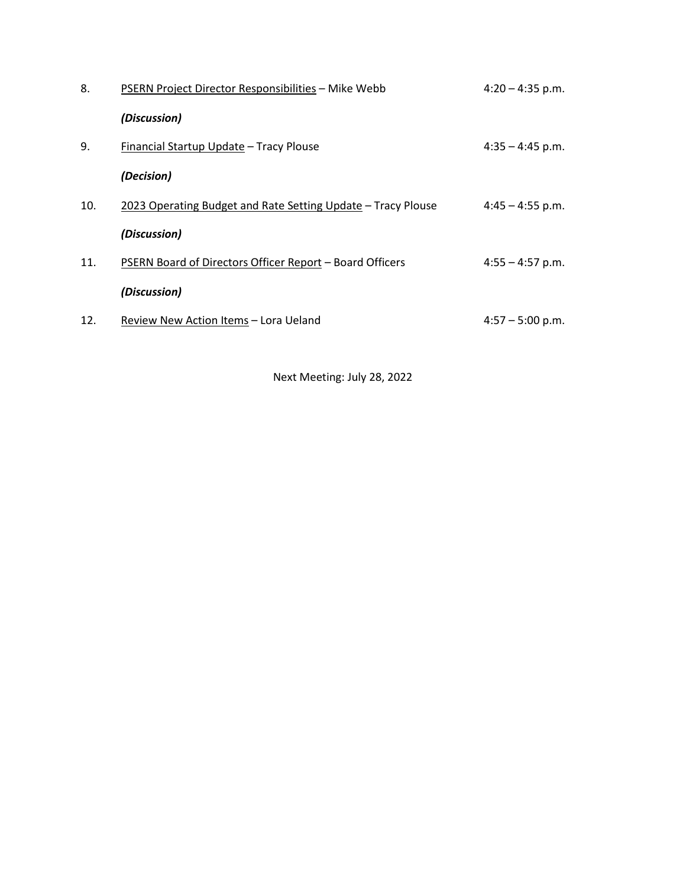| 8.  | PSERN Project Director Responsibilities - Mike Webb          | $4:20 - 4:35$ p.m. |
|-----|--------------------------------------------------------------|--------------------|
|     | (Discussion)                                                 |                    |
| 9.  | Financial Startup Update - Tracy Plouse                      | $4:35 - 4:45$ p.m. |
|     | (Decision)                                                   |                    |
| 10. | 2023 Operating Budget and Rate Setting Update - Tracy Plouse | $4:45 - 4:55$ p.m. |
|     | (Discussion)                                                 |                    |
| 11. | PSERN Board of Directors Officer Report - Board Officers     | $4:55 - 4:57$ p.m. |
|     | (Discussion)                                                 |                    |
| 12. | Review New Action Items – Lora Ueland                        | $4:57 - 5:00$ p.m. |

Next Meeting: July 28, 2022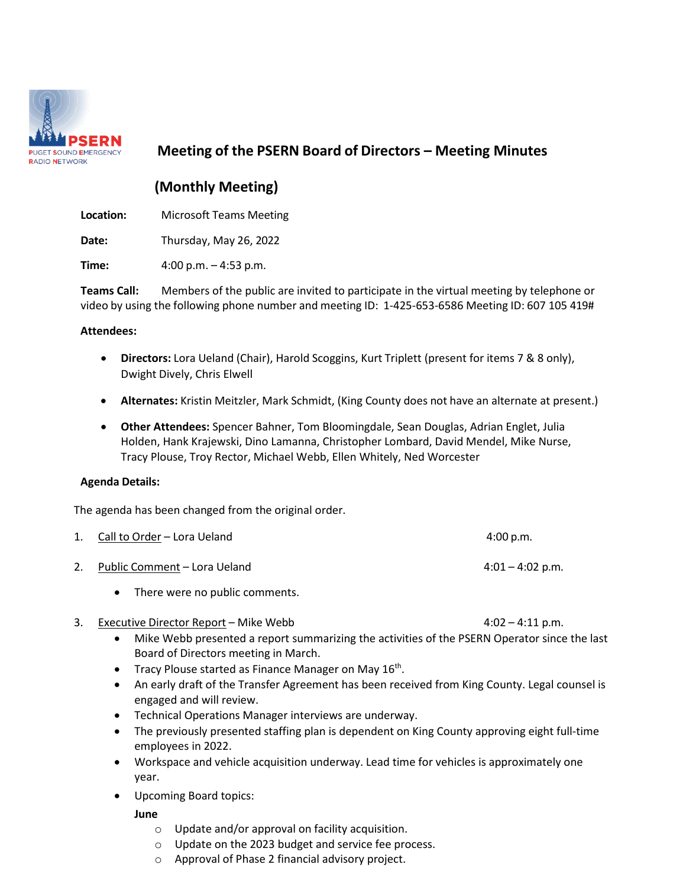

### **Meeting of the PSERN Board of Directors – Meeting Minutes**

### **(Monthly Meeting)**

**Location:** Microsoft Teams Meeting

**Date:** Thursday, May 26, 2022

**Time:** 4:00 p.m. – 4:53 p.m.

**Teams Call:** Members of the public are invited to participate in the virtual meeting by telephone or video by using the following phone number and meeting ID: 1-425-653-6586 Meeting ID: 607 105 419#

#### **Attendees:**

- **Directors:** Lora Ueland (Chair), Harold Scoggins, Kurt Triplett (present for items 7 & 8 only), Dwight Dively, Chris Elwell
- **Alternates:** Kristin Meitzler, Mark Schmidt, (King County does not have an alternate at present.)
- **Other Attendees:** Spencer Bahner, Tom Bloomingdale, Sean Douglas, Adrian Englet, Julia Holden, Hank Krajewski, Dino Lamanna, Christopher Lombard, David Mendel, Mike Nurse, Tracy Plouse, Troy Rector, Michael Webb, Ellen Whitely, Ned Worcester

#### **Agenda Details:**

The agenda has been changed from the original order.

| 1. Call to Order – Lora Ueland              | 4:00 p.m.          |
|---------------------------------------------|--------------------|
| Public Comment – Lora Ueland                | $4:01 - 4:02$ p.m. |
| There were no public comments.<br>$\bullet$ |                    |

3. Executive Director Report – Mike Webb 4:02 – 4:11 p.m.

- Mike Webb presented a report summarizing the activities of the PSERN Operator since the last Board of Directors meeting in March.
- Tracy Plouse started as Finance Manager on May  $16<sup>th</sup>$ .
- An early draft of the Transfer Agreement has been received from King County. Legal counsel is engaged and will review.
- Technical Operations Manager interviews are underway.
- The previously presented staffing plan is dependent on King County approving eight full-time employees in 2022.
- Workspace and vehicle acquisition underway. Lead time for vehicles is approximately one year.
- Upcoming Board topics:

**June**

- o Update and/or approval on facility acquisition.
- o Update on the 2023 budget and service fee process.
- o Approval of Phase 2 financial advisory project.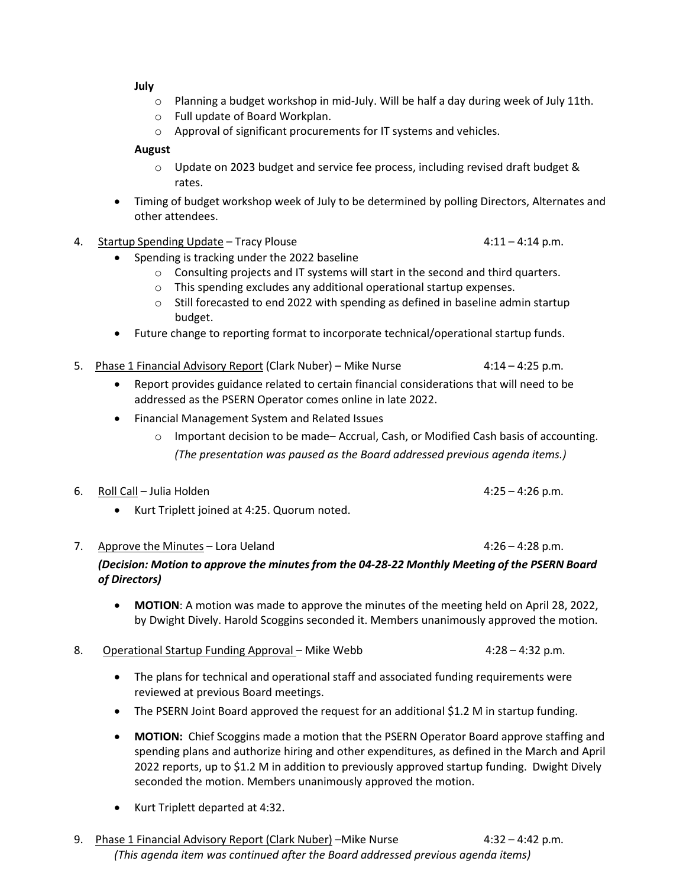**July**

- $\circ$  Planning a budget workshop in mid-July. Will be half a day during week of July 11th.
- o Full update of Board Workplan.
- o Approval of significant procurements for IT systems and vehicles.

#### **August**

- $\circ$  Update on 2023 budget and service fee process, including revised draft budget & rates.
- Timing of budget workshop week of July to be determined by polling Directors, Alternates and other attendees.
- 4. Startup Spending Update Tracy Plouse 1988 1998 1998 111 4:11 4:14 p.m.

- Spending is tracking under the 2022 baseline
	- $\circ$  Consulting projects and IT systems will start in the second and third quarters.
	- o This spending excludes any additional operational startup expenses.
	- $\circ$  Still forecasted to end 2022 with spending as defined in baseline admin startup budget.
- Future change to reporting format to incorporate technical/operational startup funds.
- 5. Phase 1 Financial Advisory Report (Clark Nuber) Mike Nurse 4:14 4:25 p.m.
	- Report provides guidance related to certain financial considerations that will need to be addressed as the PSERN Operator comes online in late 2022.
	- Financial Management System and Related Issues
		- $\circ$  Important decision to be made– Accrual, Cash, or Modified Cash basis of accounting. *(The presentation was paused as the Board addressed previous agenda items.)*
- 6. Roll Call Julia Holden **4:25 4:26 p.m.** 
	- Kurt Triplett joined at 4:25. Quorum noted.
- 7. Approve the Minutes Lora Ueland  $4:26 4:28$  p.m. *(Decision: Motion to approve the minutesfrom the 04-28-22 Monthly Meeting of the PSERN Board of Directors)*
	- **MOTION**: A motion was made to approve the minutes of the meeting held on April 28, 2022, by Dwight Dively. Harold Scoggins seconded it. Members unanimously approved the motion.
- 8. Operational Startup Funding Approval Mike Webb 4:28 4:32 p.m.
	- The plans for technical and operational staff and associated funding requirements were reviewed at previous Board meetings.
	- The PSERN Joint Board approved the request for an additional \$1.2 M in startup funding.
	- **MOTION:** Chief Scoggins made a motion that the PSERN Operator Board approve staffing and spending plans and authorize hiring and other expenditures, as defined in the March and April 2022 reports, up to \$1.2 M in addition to previously approved startup funding. Dwight Dively seconded the motion. Members unanimously approved the motion.
	- Kurt Triplett departed at 4:32.
- 9. Phase 1 Financial Advisory Report (Clark Nuber) Mike Nurse 4:32 4:42 p.m. *(This agenda item was continued after the Board addressed previous agenda items)*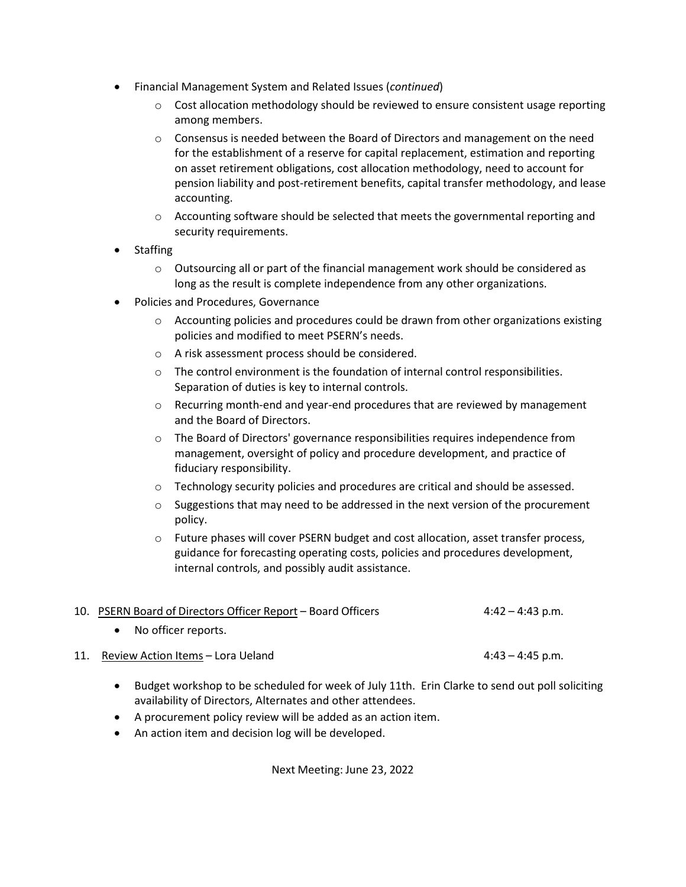- Financial Management System and Related Issues (*continued*)
	- $\circ$  Cost allocation methodology should be reviewed to ensure consistent usage reporting among members.
	- $\circ$  Consensus is needed between the Board of Directors and management on the need for the establishment of a reserve for capital replacement, estimation and reporting on asset retirement obligations, cost allocation methodology, need to account for pension liability and post-retirement benefits, capital transfer methodology, and lease accounting.
	- $\circ$  Accounting software should be selected that meets the governmental reporting and security requirements.
- Staffing
	- $\circ$  Outsourcing all or part of the financial management work should be considered as long as the result is complete independence from any other organizations.
- Policies and Procedures, Governance
	- $\circ$  Accounting policies and procedures could be drawn from other organizations existing policies and modified to meet PSERN's needs.
	- o A risk assessment process should be considered.
	- $\circ$  The control environment is the foundation of internal control responsibilities. Separation of duties is key to internal controls.
	- $\circ$  Recurring month-end and year-end procedures that are reviewed by management and the Board of Directors.
	- $\circ$  The Board of Directors' governance responsibilities requires independence from management, oversight of policy and procedure development, and practice of fiduciary responsibility.
	- o Technology security policies and procedures are critical and should be assessed.
	- $\circ$  Suggestions that may need to be addressed in the next version of the procurement policy.
	- $\circ$  Future phases will cover PSERN budget and cost allocation, asset transfer process, guidance for forecasting operating costs, policies and procedures development, internal controls, and possibly audit assistance.

|     | 10. PSERN Board of Directors Officer Report - Board Officers | $4:42 - 4:43$ p.m. |
|-----|--------------------------------------------------------------|--------------------|
|     | No officer reports.                                          |                    |
| 11. | Review Action Items - Lora Ueland                            | $4:43 - 4:45$ p.m. |

- Budget workshop to be scheduled for week of July 11th. Erin Clarke to send out poll soliciting availability of Directors, Alternates and other attendees.
- A procurement policy review will be added as an action item.
- An action item and decision log will be developed.

Next Meeting: June 23, 2022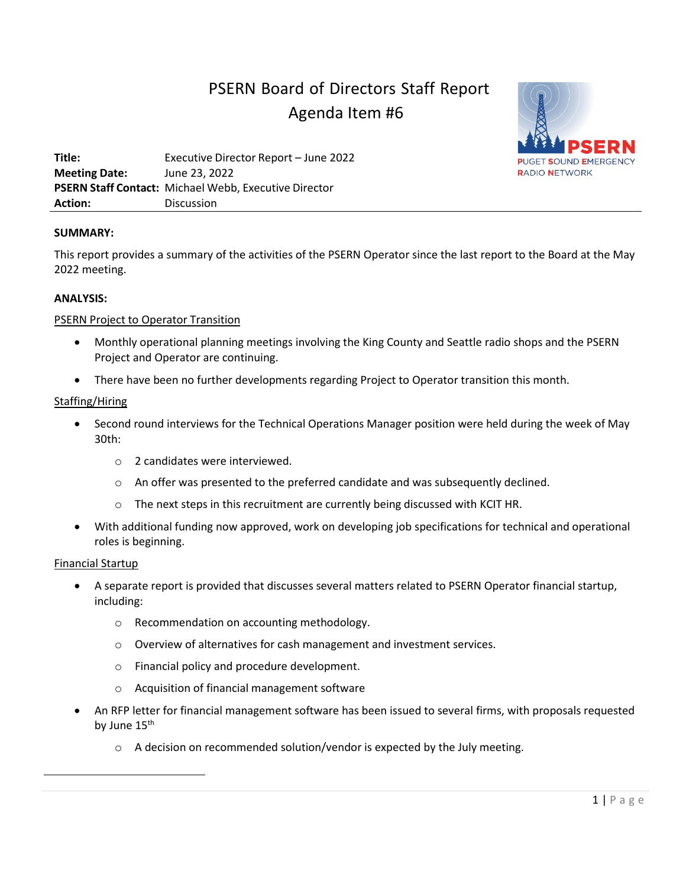# PSERN Board of Directors Staff Report Agenda Item #6



**Title:** Executive Director Report – June 2022 **Meeting Date:** June 23, 2022 **PSERN Staff Contact:** Michael Webb, Executive Director **Action:** Discussion

#### **SUMMARY:**

This report provides a summary of the activities of the PSERN Operator since the last report to the Board at the May 2022 meeting.

#### **ANALYSIS:**

#### PSERN Project to Operator Transition

- Monthly operational planning meetings involving the King County and Seattle radio shops and the PSERN Project and Operator are continuing.
- There have been no further developments regarding Project to Operator transition this month.

#### Staffing/Hiring

- Second round interviews for the Technical Operations Manager position were held during the week of May 30th:
	- o 2 candidates were interviewed.
	- $\circ$  An offer was presented to the preferred candidate and was subsequently declined.
	- o The next steps in this recruitment are currently being discussed with KCIT HR.
- With additional funding now approved, work on developing job specifications for technical and operational roles is beginning.

#### Financial Startup

- A separate report is provided that discusses several matters related to PSERN Operator financial startup, including:
	- o Recommendation on accounting methodology.
	- o Overview of alternatives for cash management and investment services.
	- o Financial policy and procedure development.
	- Acquisition of financial management software
- An RFP letter for financial management software has been issued to several firms, with proposals requested by June 15<sup>th</sup>
	- $\circ$  A decision on recommended solution/vendor is expected by the July meeting.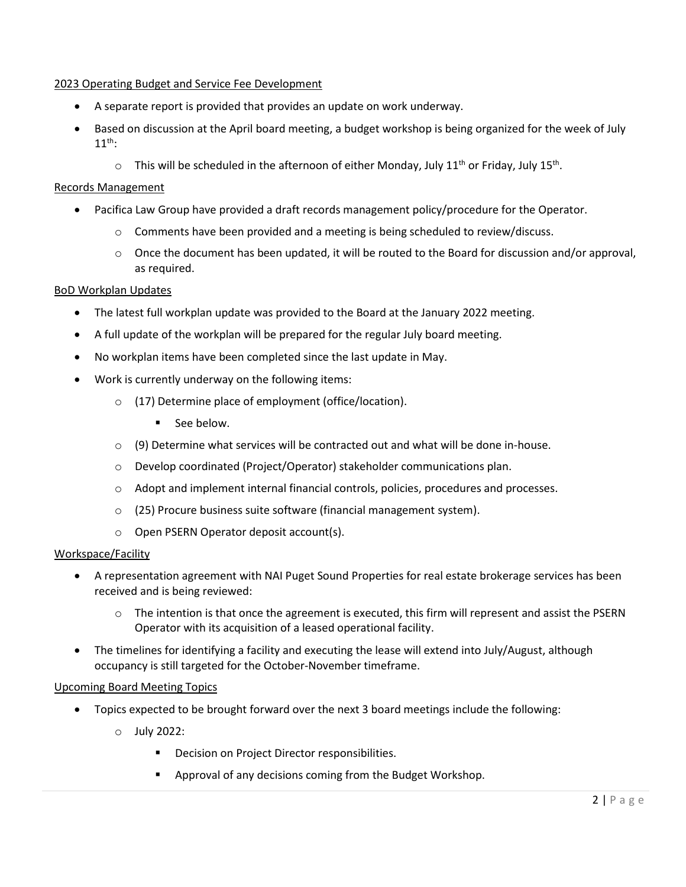#### 2023 Operating Budget and Service Fee Development

- A separate report is provided that provides an update on work underway.
- Based on discussion at the April board meeting, a budget workshop is being organized for the week of July  $11^{th}$ :
	- $\circ$  This will be scheduled in the afternoon of either Monday, July 11<sup>th</sup> or Friday, July 15<sup>th</sup>.

#### Records Management

- Pacifica Law Group have provided a draft records management policy/procedure for the Operator.
	- $\circ$  Comments have been provided and a meeting is being scheduled to review/discuss.
	- o Once the document has been updated, it will be routed to the Board for discussion and/or approval, as required.

#### BoD Workplan Updates

- The latest full workplan update was provided to the Board at the January 2022 meeting.
- A full update of the workplan will be prepared for the regular July board meeting.
- No workplan items have been completed since the last update in May.
- Work is currently underway on the following items:
	- o (17) Determine place of employment (office/location).
		- **See below.**
	- $\circ$  (9) Determine what services will be contracted out and what will be done in-house.
	- o Develop coordinated (Project/Operator) stakeholder communications plan.
	- o Adopt and implement internal financial controls, policies, procedures and processes.
	- o (25) Procure business suite software (financial management system).
	- o Open PSERN Operator deposit account(s).

#### Workspace/Facility

- A representation agreement with NAI Puget Sound Properties for real estate brokerage services has been received and is being reviewed:
	- $\circ$  The intention is that once the agreement is executed, this firm will represent and assist the PSERN Operator with its acquisition of a leased operational facility.
- The timelines for identifying a facility and executing the lease will extend into July/August, although occupancy is still targeted for the October-November timeframe.

#### Upcoming Board Meeting Topics

- Topics expected to be brought forward over the next 3 board meetings include the following:
	- o July 2022:
		- **Decision on Project Director responsibilities.**
		- Approval of any decisions coming from the Budget Workshop.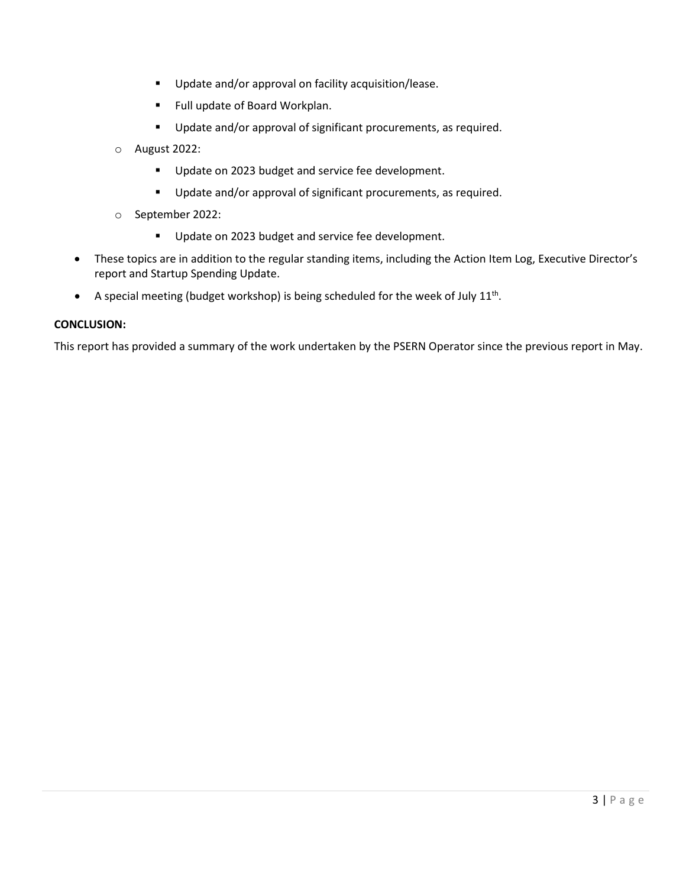- **Update and/or approval on facility acquisition/lease.**
- Full update of Board Workplan.
- **Update and/or approval of significant procurements, as required.**
- o August 2022:
	- Update on 2023 budget and service fee development.
	- **Update and/or approval of significant procurements, as required.**
- o September 2022:
	- Update on 2023 budget and service fee development.
- These topics are in addition to the regular standing items, including the Action Item Log, Executive Director's report and Startup Spending Update.
- A special meeting (budget workshop) is being scheduled for the week of July  $11^{th}$ .

#### **CONCLUSION:**

This report has provided a summary of the work undertaken by the PSERN Operator since the previous report in May.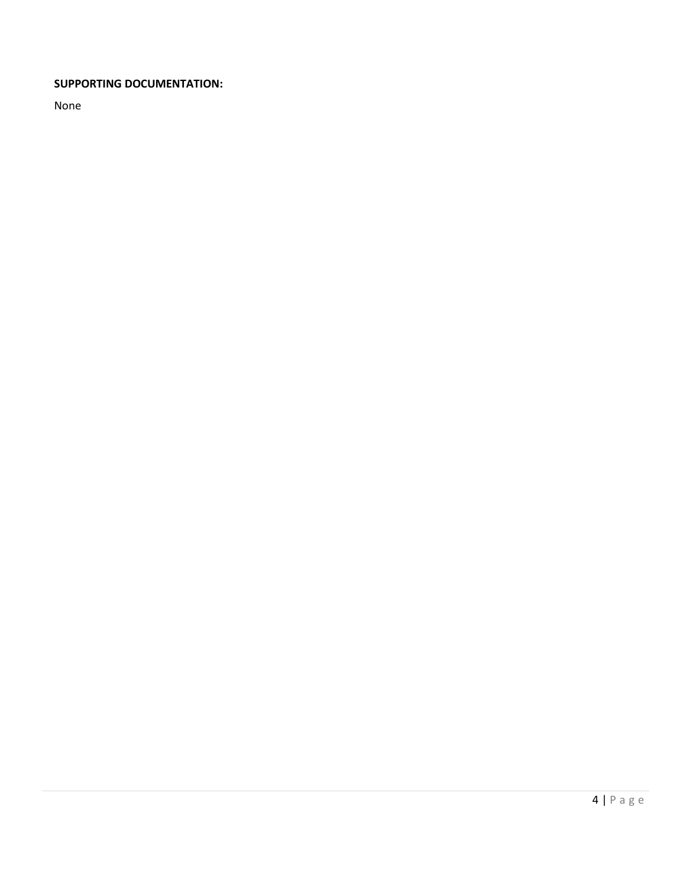#### **SUPPORTING DOCUMENTATION:**

None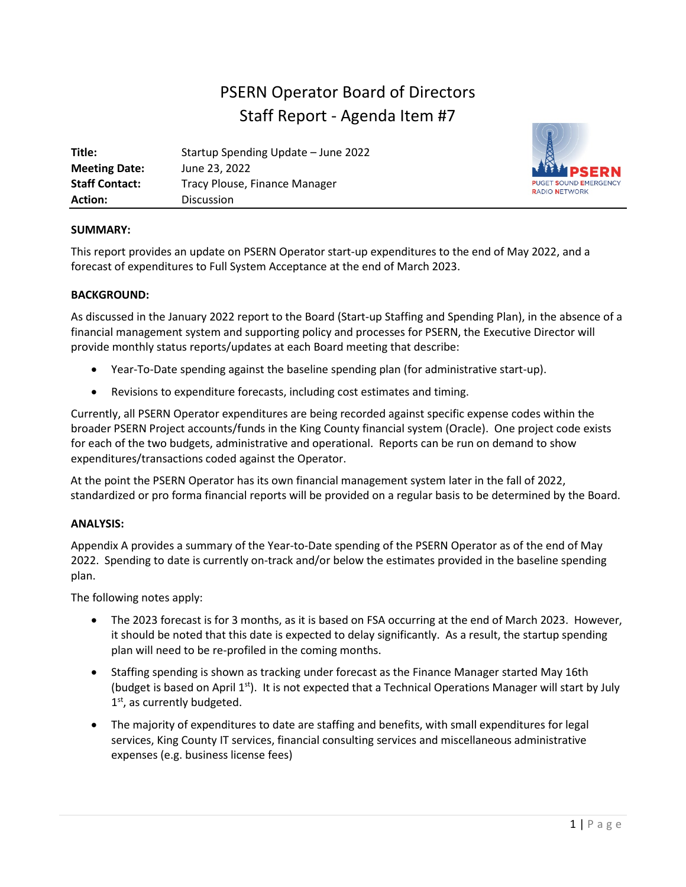# PSERN Operator Board of Directors Staff Report - Agenda Item #7

| Title:                | Startup Spending Update - June 2022 |
|-----------------------|-------------------------------------|
| <b>Meeting Date:</b>  | June 23, 2022                       |
| <b>Staff Contact:</b> | Tracy Plouse, Finance Manager       |
| <b>Action:</b>        | Discussion                          |



#### **SUMMARY:**

This report provides an update on PSERN Operator start-up expenditures to the end of May 2022, and a forecast of expenditures to Full System Acceptance at the end of March 2023.

#### **BACKGROUND:**

As discussed in the January 2022 report to the Board (Start-up Staffing and Spending Plan), in the absence of a financial management system and supporting policy and processes for PSERN, the Executive Director will provide monthly status reports/updates at each Board meeting that describe:

- Year-To-Date spending against the baseline spending plan (for administrative start-up).
- Revisions to expenditure forecasts, including cost estimates and timing.

Currently, all PSERN Operator expenditures are being recorded against specific expense codes within the broader PSERN Project accounts/funds in the King County financial system (Oracle). One project code exists for each of the two budgets, administrative and operational. Reports can be run on demand to show expenditures/transactions coded against the Operator.

At the point the PSERN Operator has its own financial management system later in the fall of 2022, standardized or pro forma financial reports will be provided on a regular basis to be determined by the Board.

#### **ANALYSIS:**

Appendix A provides a summary of the Year-to-Date spending of the PSERN Operator as of the end of May 2022. Spending to date is currently on-track and/or below the estimates provided in the baseline spending plan.

The following notes apply:

- The 2023 forecast is for 3 months, as it is based on FSA occurring at the end of March 2023. However, it should be noted that this date is expected to delay significantly. As a result, the startup spending plan will need to be re-profiled in the coming months.
- Staffing spending is shown as tracking under forecast as the Finance Manager started May 16th (budget is based on April  $1<sup>st</sup>$ ). It is not expected that a Technical Operations Manager will start by July  $1<sup>st</sup>$ , as currently budgeted.
- The majority of expenditures to date are staffing and benefits, with small expenditures for legal services, King County IT services, financial consulting services and miscellaneous administrative expenses (e.g. business license fees)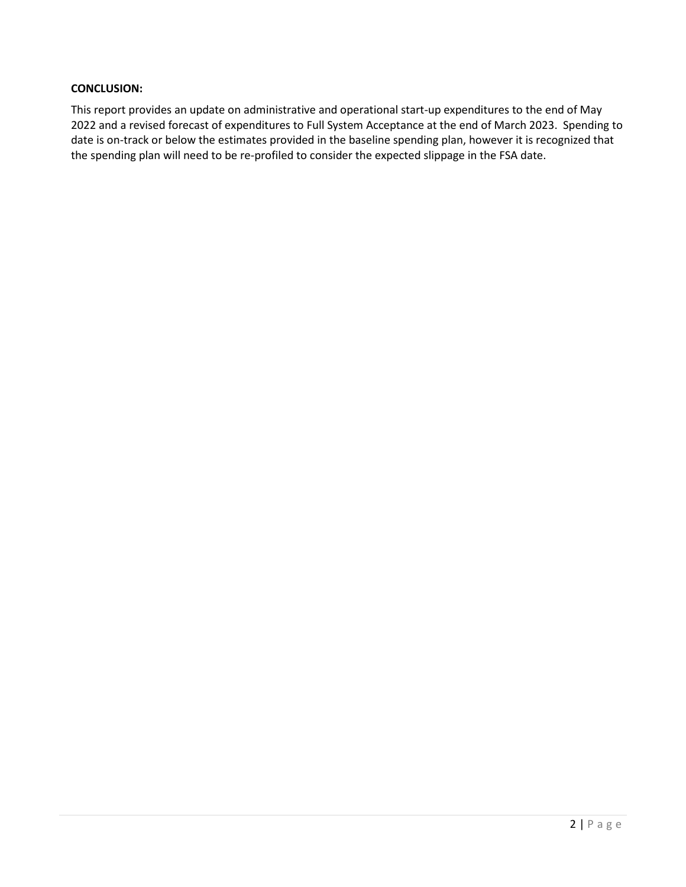#### **CONCLUSION:**

This report provides an update on administrative and operational start-up expenditures to the end of May 2022 and a revised forecast of expenditures to Full System Acceptance at the end of March 2023. Spending to date is on-track or below the estimates provided in the baseline spending plan, however it is recognized that the spending plan will need to be re-profiled to consider the expected slippage in the FSA date.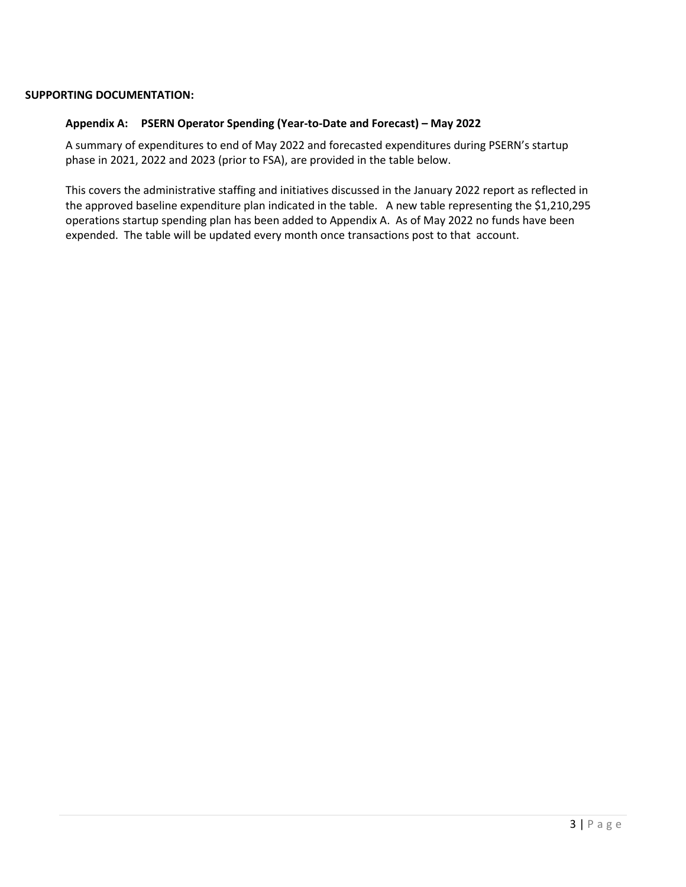#### **SUPPORTING DOCUMENTATION:**

#### **Appendix A: PSERN Operator Spending (Year-to-Date and Forecast) – May 2022**

A summary of expenditures to end of May 2022 and forecasted expenditures during PSERN's startup phase in 2021, 2022 and 2023 (prior to FSA), are provided in the table below.

This covers the administrative staffing and initiatives discussed in the January 2022 report as reflected in the approved baseline expenditure plan indicated in the table. A new table representing the \$1,210,295 operations startup spending plan has been added to Appendix A. As of May 2022 no funds have been expended. The table will be updated every month once transactions post to that account.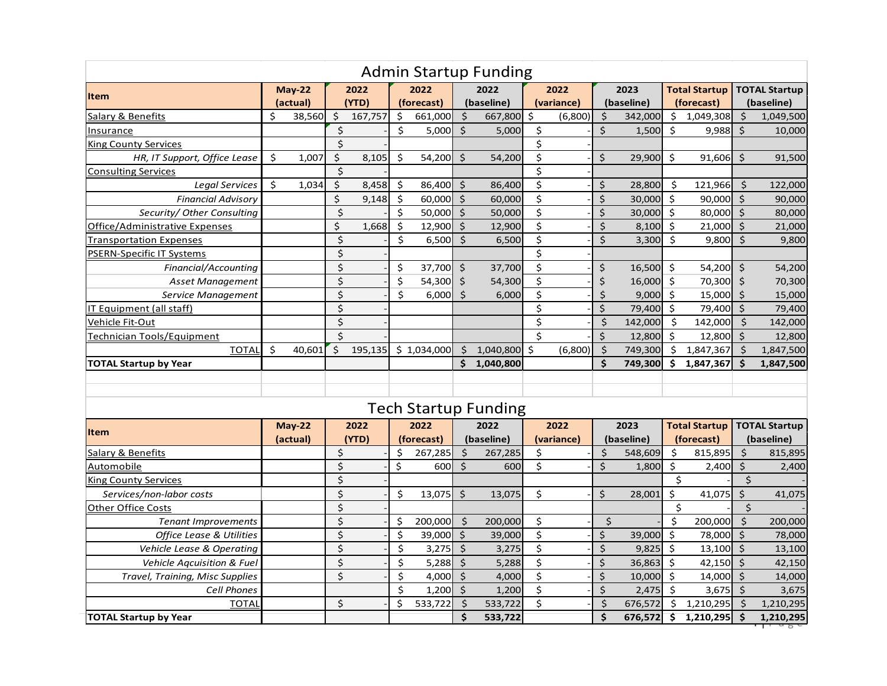| <b>Admin Startup Funding</b>        |                  |               |                          |         |         |             |                     |                             |                     |            |                      |            |                      |            |                         |                |
|-------------------------------------|------------------|---------------|--------------------------|---------|---------|-------------|---------------------|-----------------------------|---------------------|------------|----------------------|------------|----------------------|------------|-------------------------|----------------|
|                                     | $May-22$<br>2022 |               | 2022                     |         | 2022    |             | 2022                |                             | 2023                |            | <b>Total Startup</b> |            | <b>TOTAL Startup</b> |            |                         |                |
| <b>Item</b>                         |                  | (actual)      |                          | (YTD)   |         | (forecast)  |                     | (baseline)                  |                     | (variance) |                      | (baseline) |                      | (forecast) |                         | (baseline)     |
| Salary & Benefits                   | \$               | 38,560        | \$                       | 167,757 | \$      | 661,000     | \$                  | 667,800                     | Ś.                  | (6,800)    | \$                   | 342.000    | \$                   | 1.049.308  | \$                      | 1,049,500      |
| Insurance                           |                  |               | $\zeta$                  |         | Ś.      | 5,000       | $\mathsf{S}$        | 5,000                       | \$                  |            | $\zeta$              | 1,500      | Ś.                   | 9,988      | Ś.                      | 10,000         |
| <b>King County Services</b>         |                  |               | $\zeta$                  |         |         |             |                     |                             | \$                  |            |                      |            |                      |            |                         |                |
| HR, IT Support, Office Lease        | Ś.               | 1.007         | \$                       | 8,105   | $\zeta$ | 54.200      | \$                  | 54,200                      | $\ddot{\mathsf{S}}$ |            | \$                   | 29,900     | Ś.                   | 91.606     | $\zeta$                 | 91,500         |
| <b>Consulting Services</b>          |                  |               | $\zeta$                  |         |         |             |                     |                             | \$                  |            |                      |            |                      |            |                         |                |
| <b>Legal Services</b>               | Ś.               | 1,034         | \$                       | 8,458   | \$      | 86,400      | \$                  | 86,400                      | \$                  |            | \$                   | 28,800     | \$                   | 121,966    | \$                      | 122,000        |
| <b>Financial Advisory</b>           |                  |               | \$                       | 9,148   | \$      | 60,000      | Ŝ.                  | 60,000                      | \$                  |            | \$                   | 30,000     | Ś.                   | 90,000     | Ŝ.                      | 90,000         |
| Security/ Other Consulting          |                  |               | $\zeta$                  |         | \$      | $50,000$ \$ |                     | 50,000                      | \$                  |            | $\ddot{\mathsf{S}}$  | 30,000     | \$                   | 80,000     | $\ddot{\mathsf{S}}$     | 80,000         |
| Office/Administrative Expenses      |                  |               | \$                       | 1,668   | $\zeta$ | 12,900      | $\ddot{\mathsf{S}}$ | 12,900                      | \$                  |            | $\zeta$              | 8,100      | Ŝ.                   | 21,000     | $\zeta$                 | 21,000         |
| <b>Transportation Expenses</b>      |                  |               | $\zeta$                  |         | \$      | 6,500       | $\ddot{\mathsf{S}}$ | 6,500                       | $\ddot{\mathsf{S}}$ |            | \$                   | 3,300      | Ś.                   | 9.800      | Ŝ.                      | 9,800          |
| <b>PSERN-Specific IT Systems</b>    |                  |               | \$                       |         |         |             |                     |                             | \$                  |            |                      |            |                      |            |                         |                |
| Financial/Accounting                |                  |               | $\overline{\xi}$         |         | \$      | 37,700      | $\mathsf{S}$        | 37,700                      | \$                  |            | \$                   | 16,500     | \$                   | 54,200     | $\zeta$                 | 54,200         |
| <b>Asset Management</b>             |                  |               | $\overline{\xi}$         |         | \$      | 54,300      | \$                  | 54,300                      | \$                  |            | \$                   | 16,000     | \$                   | 70,300     | \$                      | 70,300         |
| Service Management                  |                  |               | $\overline{\mathcal{S}}$ |         | Ś.      | 6,000       | Ŝ.                  | 6,000                       | \$                  |            | \$                   | 9,000      | Ŝ.                   | 15,000     | $\zeta$                 | 15,000         |
| IT Equipment (all staff)            |                  |               | $\zeta$                  |         |         |             |                     |                             | \$                  |            | $\zeta$              | 79,400     | Ŝ.                   | 79,400     | Ŝ.                      | 79,400         |
| Vehicle Fit-Out                     |                  |               | $\zeta$                  |         |         |             |                     |                             | \$                  |            | \$                   | 142,000    | Ŝ.                   | 142,000    | $\zeta$                 | 142,000        |
| Technician Tools/Equipment          |                  |               | $\overline{\mathsf{S}}$  |         |         |             |                     |                             | $\zeta$             |            | \$                   | 12,800     | Ŝ.                   | 12,800     | Ŝ.                      | 12,800         |
| <b>TOTAL</b>                        | Ś.               | 40.601        | \$                       | 195,135 |         | \$1,034,000 | \$                  | 1,040,800                   | Ś.                  | (6,800)    | Ś.                   | 749,300    | \$                   | 1,847,367  | \$                      | 1,847,500      |
| <b>TOTAL Startup by Year</b>        |                  |               |                          |         |         |             |                     | \$1,040,800                 |                     |            | \$                   | 749,300    | \$                   | 1,847,367  | Ś.                      | 1,847,500      |
|                                     |                  |               |                          |         |         |             |                     |                             |                     |            |                      |            |                      |            |                         |                |
|                                     |                  |               |                          |         |         |             |                     |                             |                     |            |                      |            |                      |            |                         |                |
|                                     |                  |               |                          |         |         |             |                     | <b>Tech Startup Funding</b> |                     |            |                      |            |                      |            |                         |                |
| <b>Item</b>                         |                  | <b>May-22</b> |                          | 2022    | 2022    |             | 2022                |                             | 2022                |            | 2023                 |            | <b>Total Startup</b> |            | <b>TOTAL Startup</b>    |                |
|                                     |                  | (actual)      |                          | (YTD)   |         | (forecast)  |                     | (baseline)                  |                     | (variance) |                      | (baseline) |                      | (forecast) |                         | (baseline)     |
| Salary & Benefits                   |                  |               | \$                       |         | \$      | 267,285     | \$                  | 267,285                     | \$                  |            | \$                   | 548,609    | Ś.                   | 815,895    | Ś.                      | 815,895        |
| Automobile                          |                  |               | $\zeta$                  |         | \$      | 600l        | $\zeta$             | 600                         | \$                  |            | $\zeta$              | 1,800      | \$                   | 2,400      | $\zeta$                 | 2,400          |
| <b>King County Services</b>         |                  |               | $\overline{\xi}$         |         |         |             |                     |                             |                     |            |                      |            | \$                   |            | $\overline{\mathsf{S}}$ |                |
| Services/non-labor costs            |                  |               | $\overline{\mathcal{S}}$ |         | \$      | 13,075      | $\zeta$             | 13,075                      | \$                  |            | \$                   | 28,001     | $\dot{\mathsf{S}}$   | 41,075     | $\zeta$                 | 41,075         |
| <b>Other Office Costs</b>           |                  |               | \$                       |         |         |             |                     |                             |                     |            |                      |            | \$                   |            | \$                      |                |
| <b>Tenant Improvements</b>          |                  |               | \$                       |         | \$      | 200,000     | \$                  | 200,000                     | \$                  |            | \$                   |            | \$                   | 200,000    | Ś.                      | 200,000        |
| <b>Office Lease &amp; Utilities</b> |                  |               | $\overline{\mathcal{S}}$ |         | \$      | 39,000      | Ś.                  | 39,000                      | \$                  |            | \$                   | 39,000     | Ŝ.                   | 78,000     | Ŝ.                      | 78,000         |
| Vehicle Lease & Operating           |                  |               | \$                       |         | \$      | 3,275       | $\zeta$             | 3,275                       | \$                  |            | \$                   | 9,825      | \$                   | 13,100     | $\zeta$                 | 13,100         |
| Vehicle Aqcuisition & Fuel          |                  |               | $\zeta$                  |         | \$      | 5,288       | $\zeta$             | 5,288                       | \$                  |            | $\ddot{\mathsf{S}}$  | 36,863     | Ŝ.                   | 42,150     | $\zeta$                 | 42,150         |
| Travel, Training, Misc Supplies     |                  |               | $\zeta$                  |         | \$      | 4,000       | $\zeta$             | 4,000                       | \$                  |            | $\zeta$              | 10,000     | \$                   | 14,000     | $\zeta$                 | 14,000         |
| <b>Cell Phones</b>                  |                  |               |                          |         | \$      | 1,200       | $\zeta$             | 1,200                       | \$                  |            | $\zeta$              | 2,475      | Ŝ.                   | 3,675      | $\zeta$                 | 3,675          |
| <b>TOTAL</b>                        |                  |               | $\zeta$                  |         | \$      | 533,722     | $\mathsf{\dot{S}}$  | 533,722                     | \$                  |            | $\zeta$              | 676,572    | Ŝ.                   | 1,210,295  | S.                      | 1,210,295      |
| <b>TOTAL Startup by Year</b>        |                  |               |                          |         |         |             | \$                  | 533,722                     |                     |            | \$                   | 676,572    | Š.                   | 1,210,295  | \$                      | 1,210,295<br>ď |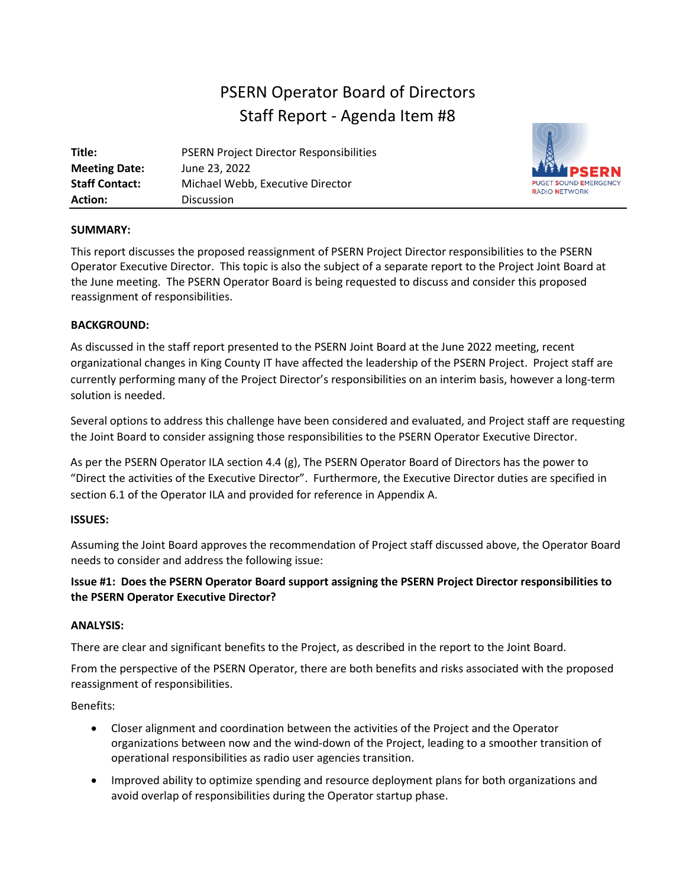# PSERN Operator Board of Directors Staff Report - Agenda Item #8

| Title:                | <b>PSERN Project Director Responsibilities</b> |
|-----------------------|------------------------------------------------|
| <b>Meeting Date:</b>  | June 23, 2022                                  |
| <b>Staff Contact:</b> | Michael Webb, Executive Director               |
| <b>Action:</b>        | <b>Discussion</b>                              |



#### **SUMMARY:**

This report discusses the proposed reassignment of PSERN Project Director responsibilities to the PSERN Operator Executive Director. This topic is also the subject of a separate report to the Project Joint Board at the June meeting. The PSERN Operator Board is being requested to discuss and consider this proposed reassignment of responsibilities.

#### **BACKGROUND:**

As discussed in the staff report presented to the PSERN Joint Board at the June 2022 meeting, recent organizational changes in King County IT have affected the leadership of the PSERN Project. Project staff are currently performing many of the Project Director's responsibilities on an interim basis, however a long-term solution is needed.

Several options to address this challenge have been considered and evaluated, and Project staff are requesting the Joint Board to consider assigning those responsibilities to the PSERN Operator Executive Director.

As per the PSERN Operator ILA section 4.4 (g), The PSERN Operator Board of Directors has the power to "Direct the activities of the Executive Director". Furthermore, the Executive Director duties are specified in section 6.1 of the Operator ILA and provided for reference in Appendix A.

#### **ISSUES:**

Assuming the Joint Board approves the recommendation of Project staff discussed above, the Operator Board needs to consider and address the following issue:

#### **Issue #1: Does the PSERN Operator Board support assigning the PSERN Project Director responsibilities to the PSERN Operator Executive Director?**

#### **ANALYSIS:**

There are clear and significant benefits to the Project, as described in the report to the Joint Board.

From the perspective of the PSERN Operator, there are both benefits and risks associated with the proposed reassignment of responsibilities.

#### Benefits:

- Closer alignment and coordination between the activities of the Project and the Operator organizations between now and the wind-down of the Project, leading to a smoother transition of operational responsibilities as radio user agencies transition.
- Improved ability to optimize spending and resource deployment plans for both organizations and avoid overlap of responsibilities during the Operator startup phase.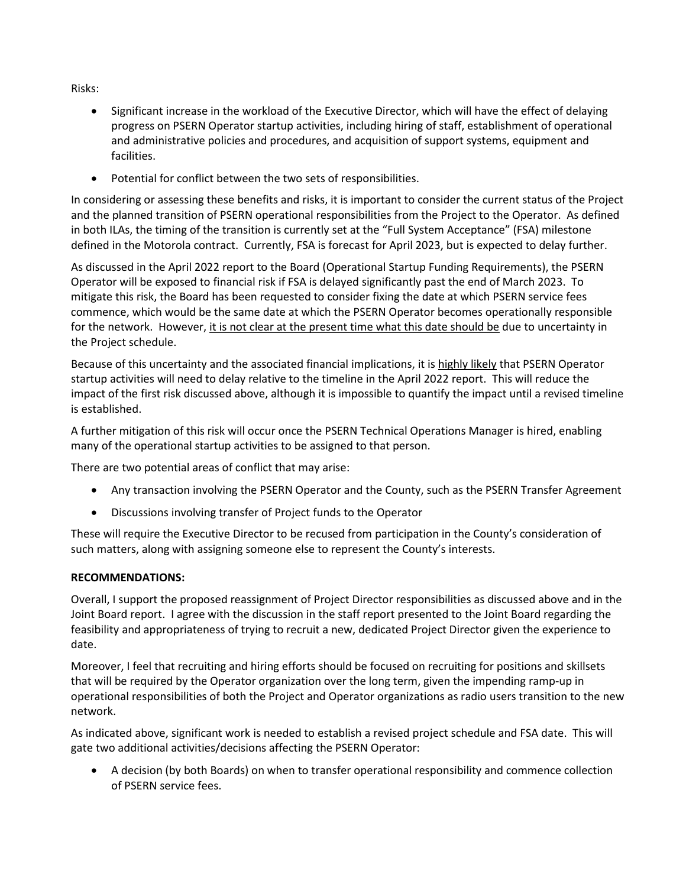Risks:

- Significant increase in the workload of the Executive Director, which will have the effect of delaying progress on PSERN Operator startup activities, including hiring of staff, establishment of operational and administrative policies and procedures, and acquisition of support systems, equipment and facilities.
- Potential for conflict between the two sets of responsibilities.

In considering or assessing these benefits and risks, it is important to consider the current status of the Project and the planned transition of PSERN operational responsibilities from the Project to the Operator. As defined in both ILAs, the timing of the transition is currently set at the "Full System Acceptance" (FSA) milestone defined in the Motorola contract. Currently, FSA is forecast for April 2023, but is expected to delay further.

As discussed in the April 2022 report to the Board (Operational Startup Funding Requirements), the PSERN Operator will be exposed to financial risk if FSA is delayed significantly past the end of March 2023. To mitigate this risk, the Board has been requested to consider fixing the date at which PSERN service fees commence, which would be the same date at which the PSERN Operator becomes operationally responsible for the network. However, it is not clear at the present time what this date should be due to uncertainty in the Project schedule.

Because of this uncertainty and the associated financial implications, it is highly likely that PSERN Operator startup activities will need to delay relative to the timeline in the April 2022 report. This will reduce the impact of the first risk discussed above, although it is impossible to quantify the impact until a revised timeline is established.

A further mitigation of this risk will occur once the PSERN Technical Operations Manager is hired, enabling many of the operational startup activities to be assigned to that person.

There are two potential areas of conflict that may arise:

- Any transaction involving the PSERN Operator and the County, such as the PSERN Transfer Agreement
- Discussions involving transfer of Project funds to the Operator

These will require the Executive Director to be recused from participation in the County's consideration of such matters, along with assigning someone else to represent the County's interests.

#### **RECOMMENDATIONS:**

Overall, I support the proposed reassignment of Project Director responsibilities as discussed above and in the Joint Board report. I agree with the discussion in the staff report presented to the Joint Board regarding the feasibility and appropriateness of trying to recruit a new, dedicated Project Director given the experience to date.

Moreover, I feel that recruiting and hiring efforts should be focused on recruiting for positions and skillsets that will be required by the Operator organization over the long term, given the impending ramp-up in operational responsibilities of both the Project and Operator organizations as radio users transition to the new network.

As indicated above, significant work is needed to establish a revised project schedule and FSA date. This will gate two additional activities/decisions affecting the PSERN Operator:

• A decision (by both Boards) on when to transfer operational responsibility and commence collection of PSERN service fees.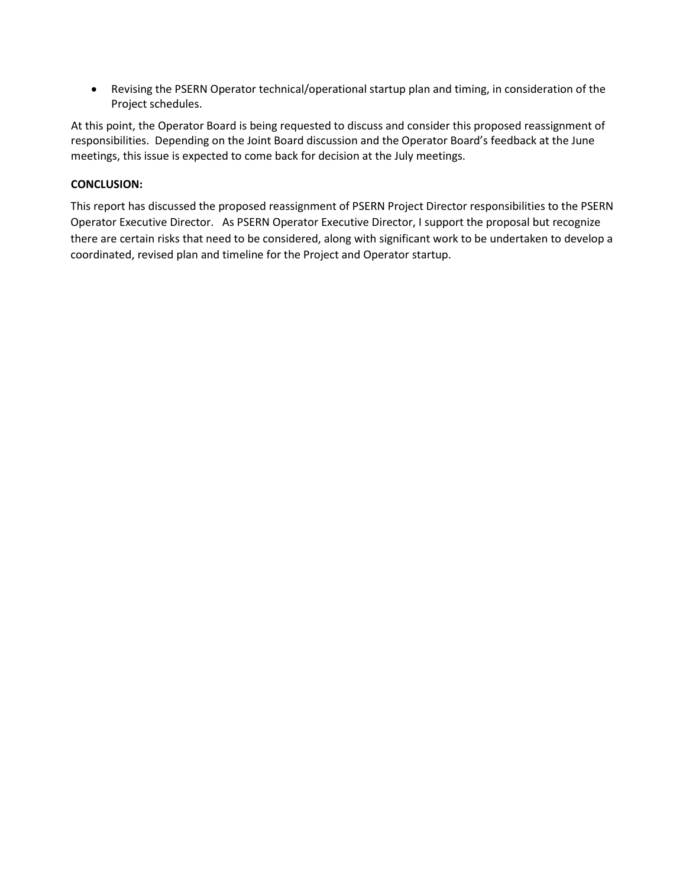• Revising the PSERN Operator technical/operational startup plan and timing, in consideration of the Project schedules.

At this point, the Operator Board is being requested to discuss and consider this proposed reassignment of responsibilities. Depending on the Joint Board discussion and the Operator Board's feedback at the June meetings, this issue is expected to come back for decision at the July meetings.

#### **CONCLUSION:**

This report has discussed the proposed reassignment of PSERN Project Director responsibilities to the PSERN Operator Executive Director. As PSERN Operator Executive Director, I support the proposal but recognize there are certain risks that need to be considered, along with significant work to be undertaken to develop a coordinated, revised plan and timeline for the Project and Operator startup.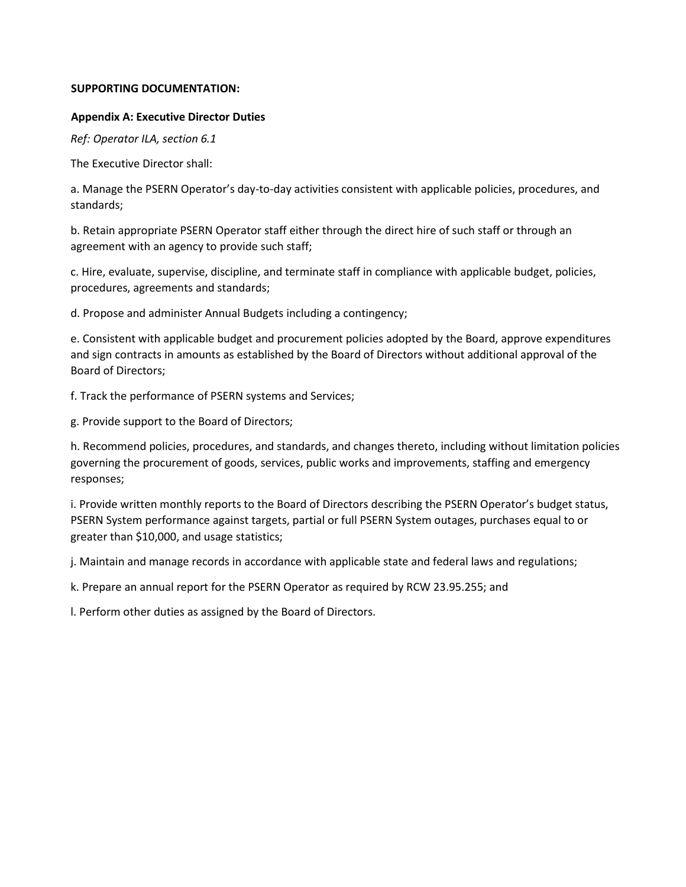#### **SUPPORTING DOCUMENTATION:**

#### **Appendix A: Executive Director Duties**

*Ref: Operator ILA, section 6.1*

The Executive Director shall:

a. Manage the PSERN Operator's day-to-day activities consistent with applicable policies, procedures, and standards;

b. Retain appropriate PSERN Operator staff either through the direct hire of such staff or through an agreement with an agency to provide such staff;

c. Hire, evaluate, supervise, discipline, and terminate staff in compliance with applicable budget, policies, procedures, agreements and standards;

d. Propose and administer Annual Budgets including a contingency;

e. Consistent with applicable budget and procurement policies adopted by the Board, approve expenditures and sign contracts in amounts as established by the Board of Directors without additional approval of the Board of Directors;

f. Track the performance of PSERN systems and Services;

g. Provide support to the Board of Directors;

h. Recommend policies, procedures, and standards, and changes thereto, including without limitation policies governing the procurement of goods, services, public works and improvements, staffing and emergency responses;

i. Provide written monthly reports to the Board of Directors describing the PSERN Operator's budget status, PSERN System performance against targets, partial or full PSERN System outages, purchases equal to or greater than \$10,000, and usage statistics;

j. Maintain and manage records in accordance with applicable state and federal laws and regulations;

k. Prepare an annual report for the PSERN Operator as required by RCW 23.95.255; and

l. Perform other duties as assigned by the Board of Directors.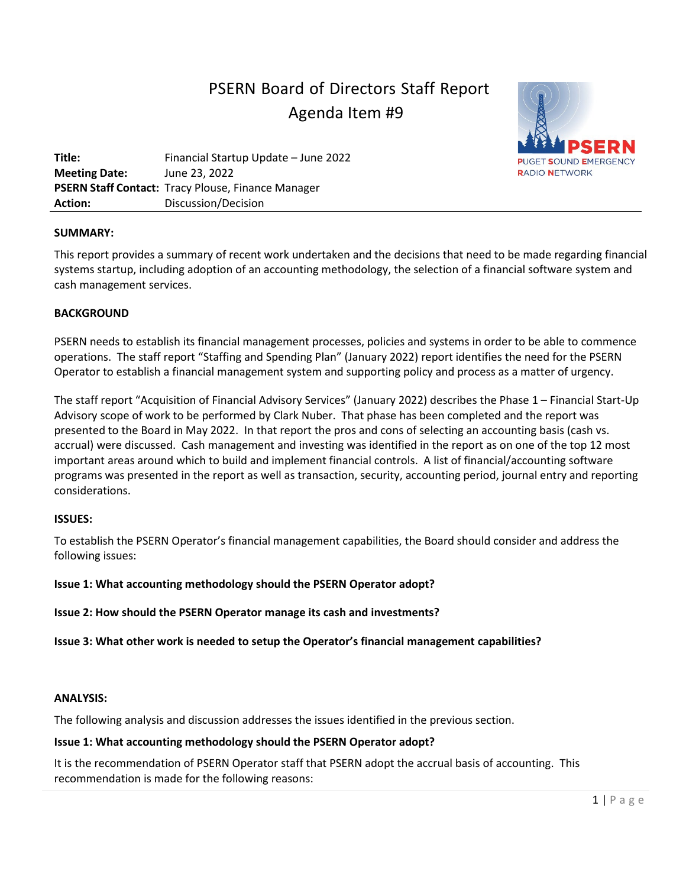# PSERN Board of Directors Staff Report Agenda Item #9



**Title:** Financial Startup Update – June 2022 **Meeting Date:** June 23, 2022 **PSERN Staff Contact:** Tracy Plouse, Finance Manager **Action:** Discussion/Decision

#### **SUMMARY:**

This report provides a summary of recent work undertaken and the decisions that need to be made regarding financial systems startup, including adoption of an accounting methodology, the selection of a financial software system and cash management services.

#### **BACKGROUND**

PSERN needs to establish its financial management processes, policies and systems in order to be able to commence operations. The staff report "Staffing and Spending Plan" (January 2022) report identifies the need for the PSERN Operator to establish a financial management system and supporting policy and process as a matter of urgency.

The staff report "Acquisition of Financial Advisory Services" (January 2022) describes the Phase 1 – Financial Start-Up Advisory scope of work to be performed by Clark Nuber. That phase has been completed and the report was presented to the Board in May 2022. In that report the pros and cons of selecting an accounting basis (cash vs. accrual) were discussed. Cash management and investing was identified in the report as on one of the top 12 most important areas around which to build and implement financial controls. A list of financial/accounting software programs was presented in the report as well as transaction, security, accounting period, journal entry and reporting considerations.

#### **ISSUES:**

To establish the PSERN Operator's financial management capabilities, the Board should consider and address the following issues:

#### **Issue 1: What accounting methodology should the PSERN Operator adopt?**

**Issue 2: How should the PSERN Operator manage its cash and investments?**

**Issue 3: What other work is needed to setup the Operator's financial management capabilities?** 

#### **ANALYSIS:**

The following analysis and discussion addresses the issues identified in the previous section.

#### **Issue 1: What accounting methodology should the PSERN Operator adopt?**

It is the recommendation of PSERN Operator staff that PSERN adopt the accrual basis of accounting. This recommendation is made for the following reasons: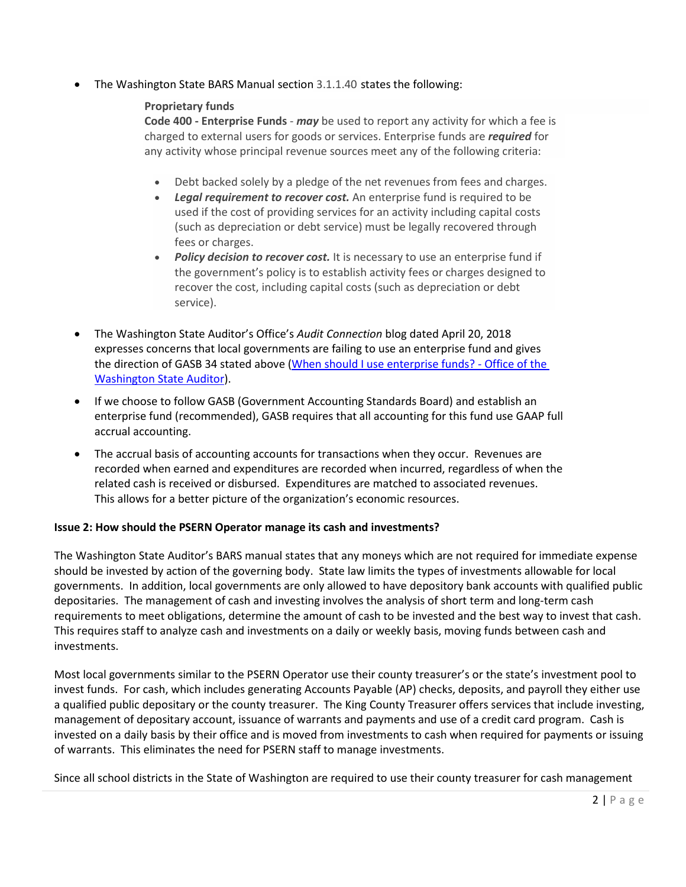• The Washington State BARS Manual section 3.1.1.40 states the following:

#### **Proprietary funds**

**Code 400 - Enterprise Funds** - *may* be used to report any activity for which a fee is charged to external users for goods or services. Enterprise funds are *required* for any activity whose principal revenue sources meet any of the following criteria:

- Debt backed solely by a pledge of the net revenues from fees and charges.
- *Legal requirement to recover cost.* An enterprise fund is required to be used if the cost of providing services for an activity including capital costs (such as depreciation or debt service) must be legally recovered through fees or charges.
- *Policy decision to recover cost.* It is necessary to use an enterprise fund if the government's policy is to establish activity fees or charges designed to recover the cost, including capital costs (such as depreciation or debt service).
- The Washington State Auditor's Office's *Audit Connection* blog dated April 20, 2018 expresses concerns that local governments are failing to use an enterprise fund and gives the direction of GASB 34 stated above [\(When should I use enterprise funds? -](https://sao.wa.gov/when-should-i-use-enterprise-funds/) Office of the [Washington State Auditor\)](https://sao.wa.gov/when-should-i-use-enterprise-funds/).
- If we choose to follow GASB (Government Accounting Standards Board) and establish an enterprise fund (recommended), GASB requires that all accounting for this fund use GAAP full accrual accounting.
- The accrual basis of accounting accounts for transactions when they occur. Revenues are recorded when earned and expenditures are recorded when incurred, regardless of when the related cash is received or disbursed. Expenditures are matched to associated revenues. This allows for a better picture of the organization's economic resources.

### **Issue 2: How should the PSERN Operator manage its cash and investments?**

The Washington State Auditor's BARS manual states that any moneys which are not required for immediate expense should be invested by action of the governing body. State law limits the types of investments allowable for local governments. In addition, local governments are only allowed to have depository bank accounts with qualified public depositaries. The management of cash and investing involves the analysis of short term and long-term cash requirements to meet obligations, determine the amount of cash to be invested and the best way to invest that cash. This requires staff to analyze cash and investments on a daily or weekly basis, moving funds between cash and investments.

Most local governments similar to the PSERN Operator use their county treasurer's or the state's investment pool to invest funds. For cash, which includes generating Accounts Payable (AP) checks, deposits, and payroll they either use a qualified public depositary or the county treasurer. The King County Treasurer offers services that include investing, management of depositary account, issuance of warrants and payments and use of a credit card program. Cash is invested on a daily basis by their office and is moved from investments to cash when required for payments or issuing of warrants. This eliminates the need for PSERN staff to manage investments.

Since all school districts in the State of Washington are required to use their county treasurer for cash management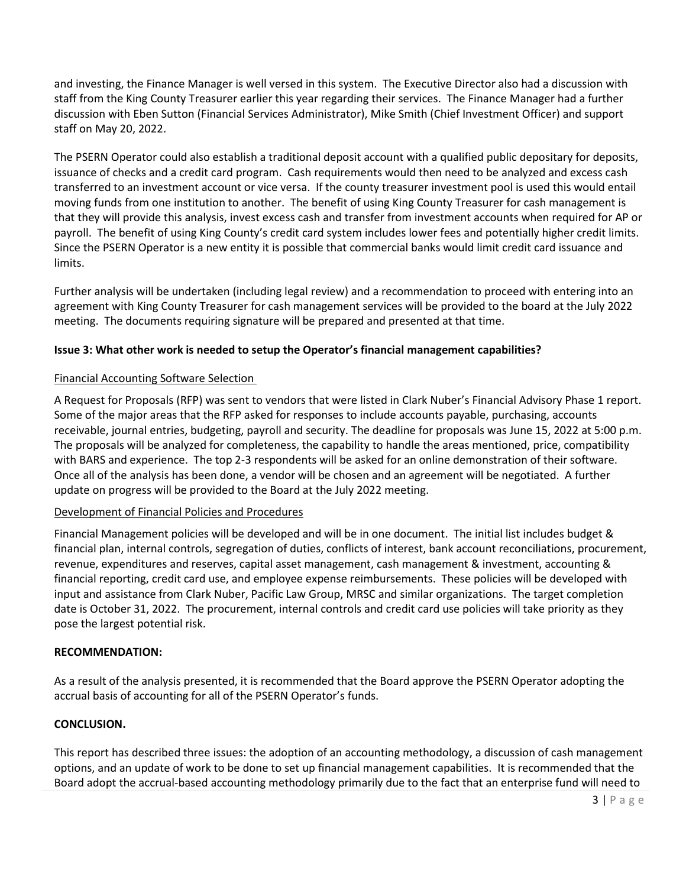and investing, the Finance Manager is well versed in this system. The Executive Director also had a discussion with staff from the King County Treasurer earlier this year regarding their services. The Finance Manager had a further discussion with Eben Sutton (Financial Services Administrator), Mike Smith (Chief Investment Officer) and support staff on May 20, 2022.

The PSERN Operator could also establish a traditional deposit account with a qualified public depositary for deposits, issuance of checks and a credit card program. Cash requirements would then need to be analyzed and excess cash transferred to an investment account or vice versa. If the county treasurer investment pool is used this would entail moving funds from one institution to another. The benefit of using King County Treasurer for cash management is that they will provide this analysis, invest excess cash and transfer from investment accounts when required for AP or payroll. The benefit of using King County's credit card system includes lower fees and potentially higher credit limits. Since the PSERN Operator is a new entity it is possible that commercial banks would limit credit card issuance and limits.

Further analysis will be undertaken (including legal review) and a recommendation to proceed with entering into an agreement with King County Treasurer for cash management services will be provided to the board at the July 2022 meeting. The documents requiring signature will be prepared and presented at that time.

#### **Issue 3: What other work is needed to setup the Operator's financial management capabilities?**

#### Financial Accounting Software Selection

A Request for Proposals (RFP) was sent to vendors that were listed in Clark Nuber's Financial Advisory Phase 1 report. Some of the major areas that the RFP asked for responses to include accounts payable, purchasing, accounts receivable, journal entries, budgeting, payroll and security. The deadline for proposals was June 15, 2022 at 5:00 p.m. The proposals will be analyzed for completeness, the capability to handle the areas mentioned, price, compatibility with BARS and experience. The top 2-3 respondents will be asked for an online demonstration of their software. Once all of the analysis has been done, a vendor will be chosen and an agreement will be negotiated. A further update on progress will be provided to the Board at the July 2022 meeting.

#### Development of Financial Policies and Procedures

Financial Management policies will be developed and will be in one document. The initial list includes budget & financial plan, internal controls, segregation of duties, conflicts of interest, bank account reconciliations, procurement, revenue, expenditures and reserves, capital asset management, cash management & investment, accounting & financial reporting, credit card use, and employee expense reimbursements. These policies will be developed with input and assistance from Clark Nuber, Pacific Law Group, MRSC and similar organizations. The target completion date is October 31, 2022. The procurement, internal controls and credit card use policies will take priority as they pose the largest potential risk.

#### **RECOMMENDATION:**

As a result of the analysis presented, it is recommended that the Board approve the PSERN Operator adopting the accrual basis of accounting for all of the PSERN Operator's funds.

#### **CONCLUSION.**

This report has described three issues: the adoption of an accounting methodology, a discussion of cash management options, and an update of work to be done to set up financial management capabilities. It is recommended that the Board adopt the accrual-based accounting methodology primarily due to the fact that an enterprise fund will need to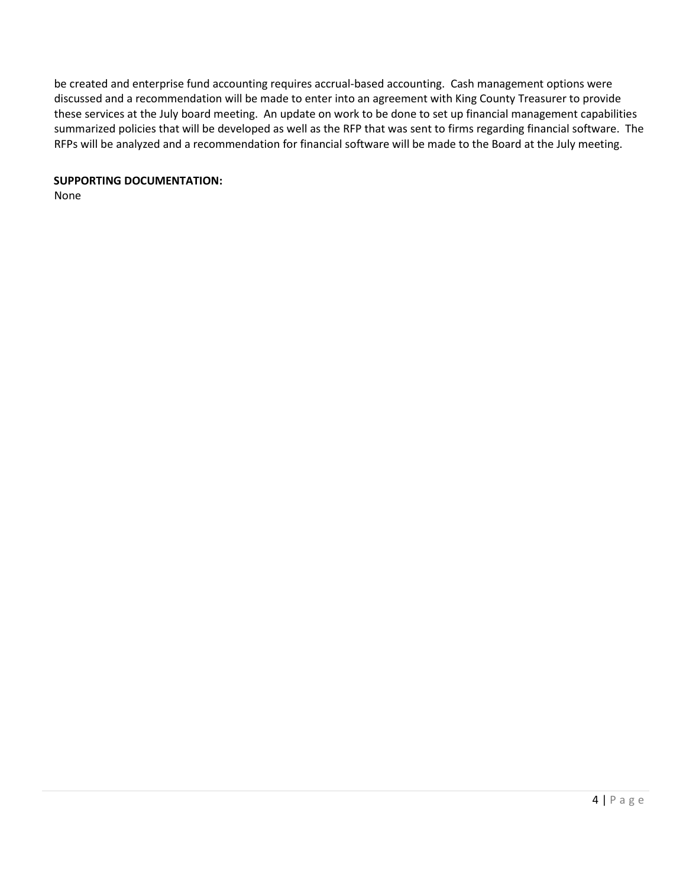be created and enterprise fund accounting requires accrual-based accounting. Cash management options were discussed and a recommendation will be made to enter into an agreement with King County Treasurer to provide these services at the July board meeting. An update on work to be done to set up financial management capabilities summarized policies that will be developed as well as the RFP that was sent to firms regarding financial software. The RFPs will be analyzed and a recommendation for financial software will be made to the Board at the July meeting.

#### **SUPPORTING DOCUMENTATION:**

None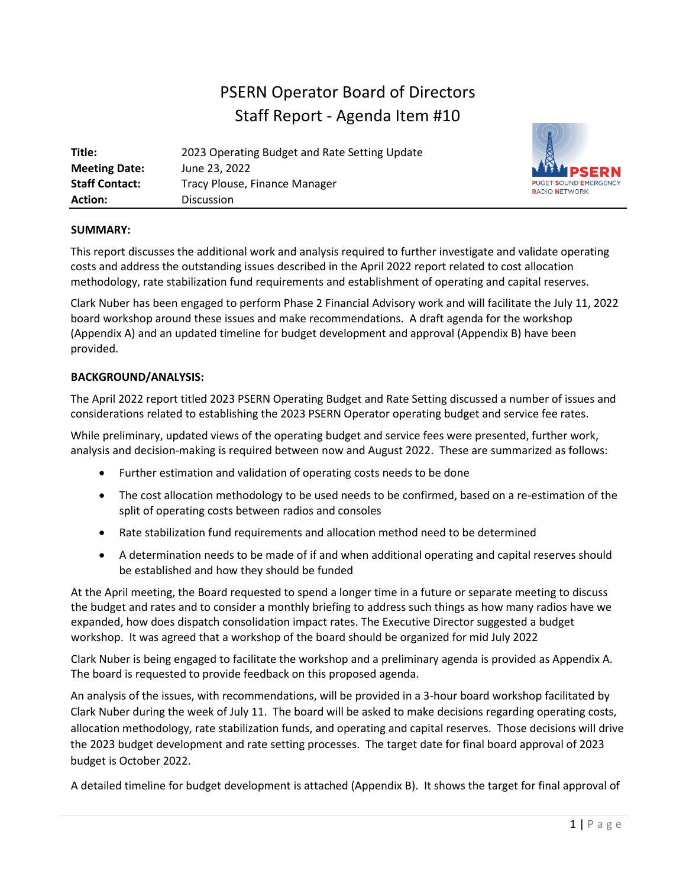# PSERN Operator Board of Directors Staff Report - Agenda Item #10

| Title:                | 2023 Operating Budget and Rate Setting Update |
|-----------------------|-----------------------------------------------|
| <b>Meeting Date:</b>  | June 23, 2022                                 |
| <b>Staff Contact:</b> | Tracy Plouse, Finance Manager                 |
| Action:               | <b>Discussion</b>                             |



#### **SUMMARY:**

This report discusses the additional work and analysis required to further investigate and validate operating costs and address the outstanding issues described in the April 2022 report related to cost allocation methodology, rate stabilization fund requirements and establishment of operating and capital reserves.

Clark Nuber has been engaged to perform Phase 2 Financial Advisory work and will facilitate the July 11, 2022 board workshop around these issues and make recommendations. A draft agenda for the workshop (Appendix A) and an updated timeline for budget development and approval (Appendix B) have been provided.

#### **BACKGROUND/ANALYSIS:**

The April 2022 report titled 2023 PSERN Operating Budget and Rate Setting discussed a number of issues and considerations related to establishing the 2023 PSERN Operator operating budget and service fee rates.

While preliminary, updated views of the operating budget and service fees were presented, further work, analysis and decision-making is required between now and August 2022. These are summarized as follows:

- Further estimation and validation of operating costs needs to be done
- The cost allocation methodology to be used needs to be confirmed, based on a re-estimation of the split of operating costs between radios and consoles
- Rate stabilization fund requirements and allocation method need to be determined
- A determination needs to be made of if and when additional operating and capital reserves should be established and how they should be funded

At the April meeting, the Board requested to spend a longer time in a future or separate meeting to discuss the budget and rates and to consider a monthly briefing to address such things as how many radios have we expanded, how does dispatch consolidation impact rates. The Executive Director suggested a budget workshop. It was agreed that a workshop of the board should be organized for mid July 2022

Clark Nuber is being engaged to facilitate the workshop and a preliminary agenda is provided as Appendix A. The board is requested to provide feedback on this proposed agenda.

An analysis of the issues, with recommendations, will be provided in a 3-hour board workshop facilitated by Clark Nuber during the week of July 11. The board will be asked to make decisions regarding operating costs, allocation methodology, rate stabilization funds, and operating and capital reserves. Those decisions will drive the 2023 budget development and rate setting processes. The target date for final board approval of 2023 budget is October 2022.

A detailed timeline for budget development is attached (Appendix B). It shows the target for final approval of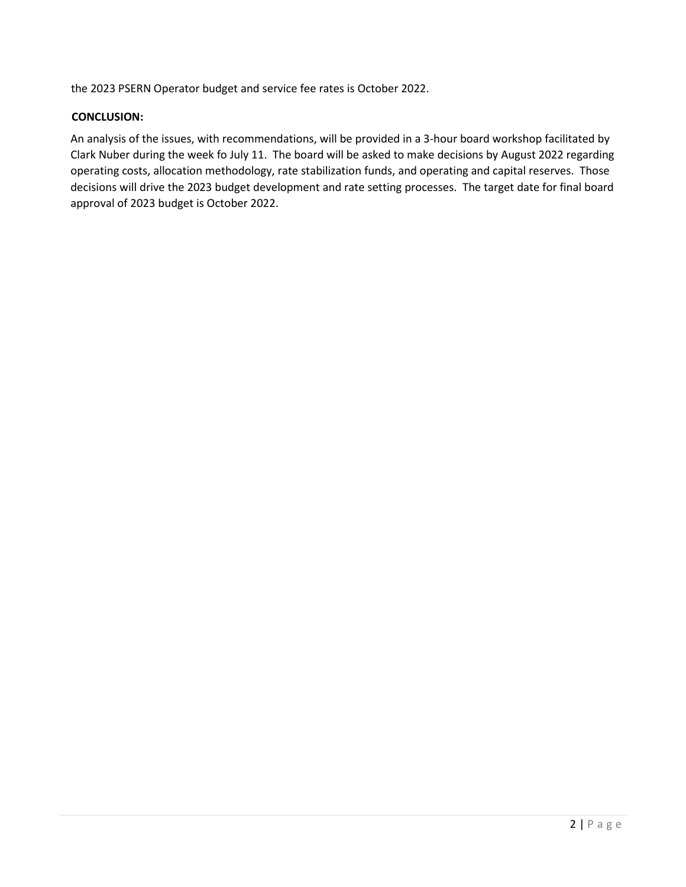the 2023 PSERN Operator budget and service fee rates is October 2022.

#### **CONCLUSION:**

An analysis of the issues, with recommendations, will be provided in a 3-hour board workshop facilitated by Clark Nuber during the week fo July 11. The board will be asked to make decisions by August 2022 regarding operating costs, allocation methodology, rate stabilization funds, and operating and capital reserves. Those decisions will drive the 2023 budget development and rate setting processes. The target date for final board approval of 2023 budget is October 2022.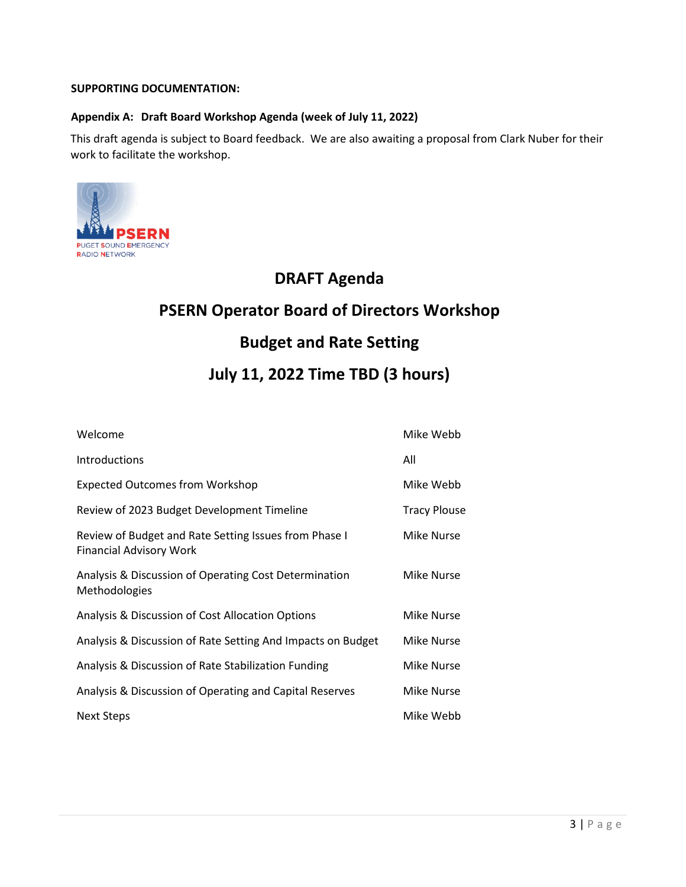#### **SUPPORTING DOCUMENTATION:**

#### **Appendix A: Draft Board Workshop Agenda (week of July 11, 2022)**

This draft agenda is subject to Board feedback. We are also awaiting a proposal from Clark Nuber for their work to facilitate the workshop.



### **DRAFT Agenda**

## **PSERN Operator Board of Directors Workshop**

### **Budget and Rate Setting**

### **July 11, 2022 Time TBD (3 hours)**

| Welcome                                                                                 | Mike Webb         |
|-----------------------------------------------------------------------------------------|-------------------|
| Introductions                                                                           | All               |
| <b>Expected Outcomes from Workshop</b>                                                  | Mike Webb         |
| Review of 2023 Budget Development Timeline                                              | Tracy Plouse      |
| Review of Budget and Rate Setting Issues from Phase I<br><b>Financial Advisory Work</b> | Mike Nurse        |
| Analysis & Discussion of Operating Cost Determination<br>Methodologies                  | Mike Nurse        |
| Analysis & Discussion of Cost Allocation Options                                        | Mike Nurse        |
| Analysis & Discussion of Rate Setting And Impacts on Budget                             | <b>Mike Nurse</b> |
| Analysis & Discussion of Rate Stabilization Funding                                     | <b>Mike Nurse</b> |
| Analysis & Discussion of Operating and Capital Reserves                                 | <b>Mike Nurse</b> |
| Next Steps                                                                              | Mike Webb         |